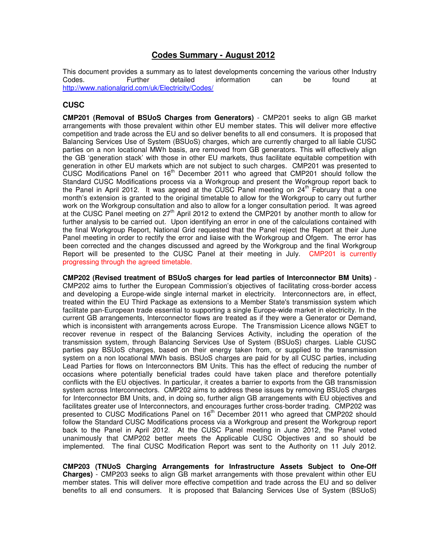# **Codes Summary - August 2012**

This document provides a summary as to latest developments concerning the various other Industry<br>Codes. Concerning the metalled information can be found at Codes. Further detailed information can be found at http://www.nationalgrid.com/uk/Electricity/Codes/

# **CUSC**

**CMP201 (Removal of BSUoS Charges from Generators)** - CMP201 seeks to align GB market arrangements with those prevalent within other EU member states. This will deliver more effective competition and trade across the EU and so deliver benefits to all end consumers. It is proposed that Balancing Services Use of System (BSUoS) charges, which are currently charged to all liable CUSC parties on a non locational MWh basis, are removed from GB generators. This will effectively align the GB 'generation stack' with those in other EU markets, thus facilitate equitable competition with generation in other EU markets which are not subject to such charges. CMP201 was presented to CUSC Modifications Panel on  $16<sup>th</sup>$  December 2011 who agreed that CMP201 should follow the Standard CUSC Modifications process via a Workgroup and present the Workgroup report back to the Panel in April 2012. It was agreed at the CUSC Panel meeting on  $24<sup>th</sup>$  February that a one month's extension is granted to the original timetable to allow for the Workgroup to carry out further work on the Workgroup consultation and also to allow for a longer consultation period. It was agreed at the CUSC Panel meeting on 27th April 2012 to extend the CMP201 by another month to allow for further analysis to be carried out. Upon identifying an error in one of the calculations contained with the final Workgroup Report, National Grid requested that the Panel reject the Report at their June Panel meeting in order to rectify the error and liaise with the Workgroup and Ofgem. The error has been corrected and the changes discussed and agreed by the Workgroup and the final Workgroup Report will be presented to the CUSC Panel at their meeting in July. CMP201 is currently progressing through the agreed timetable.

**CMP202 (Revised treatment of BSUoS charges for lead parties of Interconnector BM Units)** - CMP202 aims to further the European Commission's objectives of facilitating cross-border access and developing a Europe-wide single internal market in electricity. Interconnectors are, in effect, treated within the EU Third Package as extensions to a Member State's transmission system which facilitate pan-European trade essential to supporting a single Europe-wide market in electricity. In the current GB arrangements, Interconnector flows are treated as if they were a Generator or Demand, which is inconsistent with arrangements across Europe. The Transmission Licence allows NGET to recover revenue in respect of the Balancing Services Activity, including the operation of the transmission system, through Balancing Services Use of System (BSUoS) charges. Liable CUSC parties pay BSUoS charges, based on their energy taken from, or supplied to the transmission system on a non locational MWh basis. BSUoS charges are paid for by all CUSC parties, including Lead Parties for flows on Interconnectors BM Units. This has the effect of reducing the number of occasions where potentially beneficial trades could have taken place and therefore potentially conflicts with the EU objectives. In particular, it creates a barrier to exports from the GB transmission system across Interconnectors. CMP202 aims to address these issues by removing BSUoS charges for Interconnector BM Units, and, in doing so, further align GB arrangements with EU objectives and facilitates greater use of Interconnectors, and encourages further cross-border trading. CMP202 was presented to CUSC Modifications Panel on 16<sup>th</sup> December 2011 who agreed that CMP202 should follow the Standard CUSC Modifications process via a Workgroup and present the Workgroup report back to the Panel in April 2012. At the CUSC Panel meeting in June 2012, the Panel voted unanimously that CMP202 better meets the Applicable CUSC Objectives and so should be implemented. The final CUSC Modification Report was sent to the Authority on 11 July 2012.

**CMP203 (TNUoS Charging Arrangements for Infrastructure Assets Subject to One-Off Charges)** - CMP203 seeks to align GB market arrangements with those prevalent within other EU member states. This will deliver more effective competition and trade across the EU and so deliver benefits to all end consumers. It is proposed that Balancing Services Use of System (BSUoS)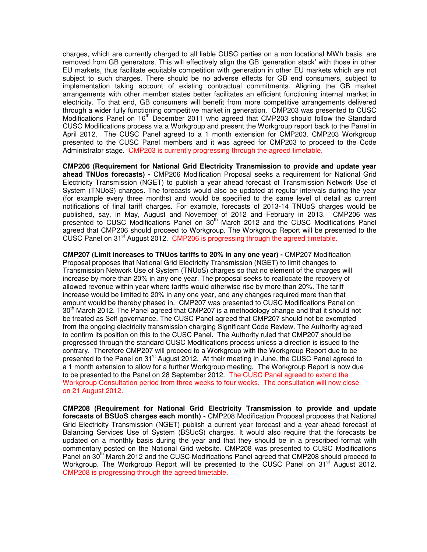charges, which are currently charged to all liable CUSC parties on a non locational MWh basis, are removed from GB generators. This will effectively align the GB 'generation stack' with those in other EU markets, thus facilitate equitable competition with generation in other EU markets which are not subject to such charges. There should be no adverse effects for GB end consumers, subject to implementation taking account of existing contractual commitments. Aligning the GB market arrangements with other member states better facilitates an efficient functioning internal market in electricity. To that end, GB consumers will benefit from more competitive arrangements delivered through a wider fully functioning competitive market in generation. CMP203 was presented to CUSC Modifications Panel on 16<sup>th</sup> December 2011 who agreed that CMP203 should follow the Standard CUSC Modifications process via a Workgroup and present the Workgroup report back to the Panel in April 2012. The CUSC Panel agreed to a 1 month extension for CMP203. CMP203 Workgroup presented to the CUSC Panel members and it was agreed for CMP203 to proceed to the Code Administrator stage. CMP203 is currently progressing through the agreed timetable.

**CMP206 (Requirement for National Grid Electricity Transmission to provide and update year ahead TNUos forecasts) -** CMP206 Modification Proposal seeks a requirement for National Grid Electricity Transmission (NGET) to publish a year ahead forecast of Transmission Network Use of System (TNUoS) charges. The forecasts would also be updated at regular intervals during the year (for example every three months) and would be specified to the same level of detail as current notifications of final tariff charges. For example, forecasts of 2013-14 TNUoS charges would be published, say, in May, August and November of 2012 and February in 2013. CMP206 was presented to CUSC Modifications Panel on 30<sup>th</sup> March 2012 and the CUSC Modifications Panel agreed that CMP206 should proceed to Workgroup. The Workgroup Report will be presented to the CUSC Panel on 31<sup>st</sup> August 2012. CMP206 is progressing through the agreed timetable.

**CMP207 (Limit increases to TNUos tariffs to 20% in any one year) -** CMP207 Modification Proposal proposes that National Grid Electricity Transmission (NGET) to limit changes to Transmission Network Use of System (TNUoS) charges so that no element of the charges will increase by more than 20% in any one year. The proposal seeks to reallocate the recovery of allowed revenue within year where tariffs would otherwise rise by more than 20%. The tariff increase would be limited to 20% in any one year, and any changes required more than that amount would be thereby phased in. CMP207 was presented to CUSC Modifications Panel on  $30<sup>th</sup>$  March 2012. The Panel agreed that CMP207 is a methodology change and that it should not be treated as Self-governance. The CUSC Panel agreed that CMP207 should not be exempted from the ongoing electricity transmission charging Significant Code Review. The Authority agreed to confirm its position on this to the CUSC Panel. The Authority ruled that CMP207 should be progressed through the standard CUSC Modifications process unless a direction is issued to the contrary. Therefore CMP207 will proceed to a Workgroup with the Workgroup Report due to be presented to the Panel on 31<sup>st</sup> August 2012. At their meeting in June, the CUSC Panel agreed to a 1 month extension to allow for a further Workgroup meeting. The Workgroup Report is now due to be presented to the Panel on 28 September 2012. The CUSC Panel agreed to extend the Workgroup Consultation period from three weeks to four weeks. The consultation will now close on 21 August 2012.

**CMP208 (Requirement for National Grid Electricity Transmission to provide and update forecasts of BSUoS charges each month) -** CMP208 Modification Proposal proposes that National Grid Electricity Transmission (NGET) publish a current year forecast and a year-ahead forecast of Balancing Services Use of System (BSUoS) charges. It would also require that the forecasts be updated on a monthly basis during the year and that they should be in a prescribed format with commentary posted on the National Grid website. CMP208 was presented to CUSC Modifications Panel on 30<sup>th</sup> March 2012 and the CUSC Modifications Panel agreed that CMP208 should proceed to Workgroup. The Workgroup Report will be presented to the CUSC Panel on 31<sup>st</sup> August 2012. CMP208 is progressing through the agreed timetable.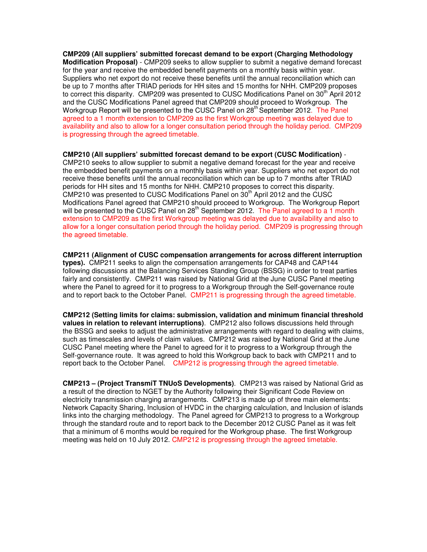**CMP209 (All suppliers' submitted forecast demand to be export (Charging Methodology Modification Proposal)** - CMP209 seeks to allow supplier to submit a negative demand forecast for the year and receive the embedded benefit payments on a monthly basis within year. Suppliers who net export do not receive these benefits until the annual reconciliation which can be up to 7 months after TRIAD periods for HH sites and 15 months for NHH. CMP209 proposes to correct this disparity. CMP209 was presented to CUSC Modifications Panel on 30<sup>th</sup> April 2012 and the CUSC Modifications Panel agreed that CMP209 should proceed to Workgroup. The Workgroup Report will be presented to the CUSC Panel on 28<sup>th</sup> September 2012. The Panel agreed to a 1 month extension to CMP209 as the first Workgroup meeting was delayed due to availability and also to allow for a longer consultation period through the holiday period. CMP209 is progressing through the agreed timetable.

#### **CMP210 (All suppliers' submitted forecast demand to be export (CUSC Modification)** -

CMP210 seeks to allow supplier to submit a negative demand forecast for the year and receive the embedded benefit payments on a monthly basis within year. Suppliers who net export do not receive these benefits until the annual reconciliation which can be up to 7 months after TRIAD periods for HH sites and 15 months for NHH. CMP210 proposes to correct this disparity. CMP210 was presented to CUSC Modifications Panel on  $30<sup>th</sup>$  April 2012 and the CUSC Modifications Panel agreed that CMP210 should proceed to Workgroup. The Workgroup Report will be presented to the CUSC Panel on  $28<sup>th</sup>$  September 2012. The Panel agreed to a 1 month extension to CMP209 as the first Workgroup meeting was delayed due to availability and also to allow for a longer consultation period through the holiday period. CMP209 is progressing through the agreed timetable.

**CMP211 (Alignment of CUSC compensation arrangements for across different interruption types).** CMP211 seeks to align the compensation arrangements for CAP48 and CAP144 following discussions at the Balancing Services Standing Group (BSSG) in order to treat parties fairly and consistently. CMP211 was raised by National Grid at the June CUSC Panel meeting where the Panel to agreed for it to progress to a Workgroup through the Self-governance route and to report back to the October Panel. CMP211 is progressing through the agreed timetable.

**CMP212 (Setting limits for claims: submission, validation and minimum financial threshold values in relation to relevant interruptions)**. CMP212 also follows discussions held through the BSSG and seeks to adjust the administrative arrangements with regard to dealing with claims, such as timescales and levels of claim values. CMP212 was raised by National Grid at the June CUSC Panel meeting where the Panel to agreed for it to progress to a Workgroup through the Self-governance route. It was agreed to hold this Workgroup back to back with CMP211 and to report back to the October Panel. CMP212 is progressing through the agreed timetable.

**CMP213 – (Project TransmiT TNUoS Developments)**. CMP213 was raised by National Grid as a result of the direction to NGET by the Authority following their Significant Code Review on electricity transmission charging arrangements. CMP213 is made up of three main elements: Network Capacity Sharing, Inclusion of HVDC in the charging calculation, and Inclusion of islands links into the charging methodology. The Panel agreed for CMP213 to progress to a Workgroup through the standard route and to report back to the December 2012 CUSC Panel as it was felt that a minimum of 6 months would be required for the Workgroup phase. The first Workgroup meeting was held on 10 July 2012. CMP212 is progressing through the agreed timetable.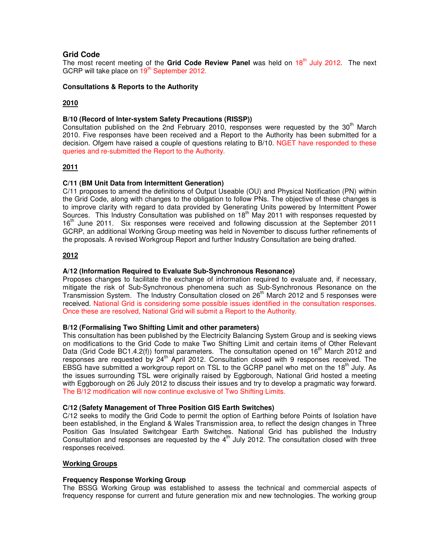# **Grid Code**

The most recent meeting of the **Grid Code Review Panel** was held on 18th July 2012. The next GCRP will take place on 19<sup>th</sup> September 2012.

## **Consultations & Reports to the Authority**

# **2010**

## **B/10 (Record of Inter-system Safety Precautions (RISSP))**

Consultation published on the 2nd February 2010, responses were requested by the  $30<sup>th</sup>$  March 2010. Five responses have been received and a Report to the Authority has been submitted for a decision. Ofgem have raised a couple of questions relating to B/10. NGET have responded to these queries and re-submitted the Report to the Authority.

## **2011**

## **C/11 (BM Unit Data from Intermittent Generation)**

C/11 proposes to amend the definitions of Output Useable (OU) and Physical Notification (PN) within the Grid Code, along with changes to the obligation to follow PNs. The objective of these changes is to improve clarity with regard to data provided by Generating Units powered by Intermittent Power Sources. This Industry Consultation was published on  $18<sup>th</sup>$  May 2011 with responses requested by 16<sup>th</sup> June 2011. Six responses were received and following discussion at the September 2011 GCRP, an additional Working Group meeting was held in November to discuss further refinements of the proposals. A revised Workgroup Report and further Industry Consultation are being drafted.

## **2012**

## **A/12 (Information Required to Evaluate Sub-Synchronous Resonance)**

Proposes changes to facilitate the exchange of information required to evaluate and, if necessary, mitigate the risk of Sub-Synchronous phenomena such as Sub-Synchronous Resonance on the Transmission System. The Industry Consultation closed on 26<sup>th</sup> March 2012 and 5 responses were received. National Grid is considering some possible issues identified in the consultation responses. Once these are resolved, National Grid will submit a Report to the Authority.

## **B/12 (Formalising Two Shifting Limit and other parameters)**

This consultation has been published by the Electricity Balancing System Group and is seeking views on modifications to the Grid Code to make Two Shifting Limit and certain items of Other Relevant Data (Grid Code BC1.4.2(f)) formal parameters. The consultation opened on  $16<sup>th</sup>$  March 2012 and responses are requested by 24<sup>th</sup> April 2012. Consultation closed with 9 responses received. The EBSG have submitted a workgroup report on TSL to the GCRP panel who met on the 18<sup>th</sup> July. As the issues surrounding TSL were originally raised by Eggborough, National Grid hosted a meeting with Eggborough on 26 July 2012 to discuss their issues and try to develop a pragmatic way forward. The B/12 modification will now continue exclusive of Two Shifting Limits.

## **C/12 (Safety Management of Three Position GIS Earth Switches)**

C/12 seeks to modify the Grid Code to permit the option of Earthing before Points of Isolation have been established, in the England & Wales Transmission area, to reflect the design changes in Three Position Gas Insulated Switchgear Earth Switches. National Grid has published the Industry Consultation and responses are requested by the  $4<sup>th</sup>$  July 2012. The consultation closed with three responses received.

## **Working Groups**

## **Frequency Response Working Group**

The BSSG Working Group was established to assess the technical and commercial aspects of frequency response for current and future generation mix and new technologies. The working group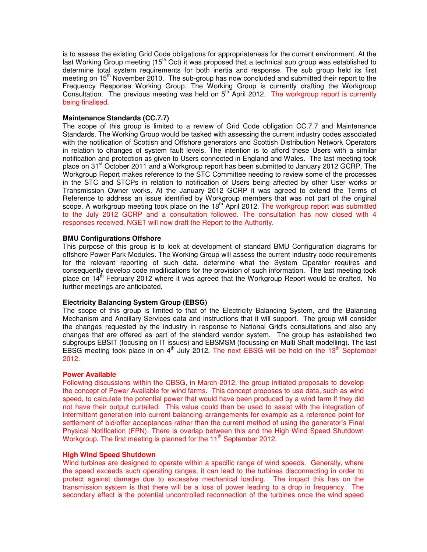is to assess the existing Grid Code obligations for appropriateness for the current environment. At the last Working Group meeting (15<sup>th</sup> Oct) it was proposed that a technical sub group was established to determine total system requirements for both inertia and response. The sub group held its first meeting on 15<sup>th</sup> November 2010. The sub-group has now concluded and submitted their report to the Frequency Response Working Group. The Working Group is currently drafting the Workgroup Consultation. The previous meeting was held on  $5<sup>th</sup>$  April 2012. The workgroup report is currently being finalised.

#### **Maintenance Standards (CC.7.7)**

The scope of this group is limited to a review of Grid Code obligation CC.7.7 and Maintenance Standards. The Working Group would be tasked with assessing the current industry codes associated with the notification of Scottish and Offshore generators and Scottish Distribution Network Operators in relation to changes of system fault levels. The intention is to afford these Users with a similar notification and protection as given to Users connected in England and Wales. The last meeting took place on 31<sup>st</sup> October 2011 and a Workgroup report has been submitted to January 2012 GCRP. The Workgroup Report makes reference to the STC Committee needing to review some of the processes in the STC and STCPs in relation to notification of Users being affected by other User works or Transmission Owner works. At the January 2012 GCRP it was agreed to extend the Terms of Reference to address an issue identified by Workgroup members that was not part of the original scope. A workgroup meeting took place on the 18<sup>th</sup> April 2012. The workgroup report was submitted to the July 2012 GCRP and a consultation followed. The consultation has now closed with 4 responses received. NGET will now draft the Report to the Authority.

#### **BMU Configurations Offshore**

This purpose of this group is to look at development of standard BMU Configuration diagrams for offshore Power Park Modules. The Working Group will assess the current industry code requirements for the relevant reporting of such data, determine what the System Operator requires and consequently develop code modifications for the provision of such information. The last meeting took place on 14<sup>th</sup> February 2012 where it was agreed that the Workgroup Report would be drafted. No further meetings are anticipated.

## **Electricity Balancing System Group (EBSG)**

The scope of this group is limited to that of the Electricity Balancing System, and the Balancing Mechanism and Ancillary Services data and instructions that it will support. The group will consider the changes requested by the industry in response to National Grid's consultations and also any changes that are offered as part of the standard vendor system. The group has established two subgroups EBSIT (focusing on IT issues) and EBSMSM (focussing on Multi Shaft modelling). The last EBSG meeting took place in on  $4<sup>th</sup>$  July 2012. The next EBSG will be held on the 13<sup>th</sup> September 2012.

#### **Power Available**

Following discussions within the CBSG, in March 2012, the group initiated proposals to develop the concept of Power Available for wind farms. This concept proposes to use data, such as wind speed, to calculate the potential power that would have been produced by a wind farm if they did not have their output curtailed. This value could then be used to assist with the integration of intermittent generation into current balancing arrangements for example as a reference point for settlement of bid/offer acceptances rather than the current method of using the generator's Final Physical Notification (FPN). There is overlap between this and the High Wind Speed Shutdown Workgroup. The first meeting is planned for the  $11<sup>th</sup>$  September 2012.

#### **High Wind Speed Shutdown**

Wind turbines are designed to operate within a specific range of wind speeds. Generally, where the speed exceeds such operating ranges, it can lead to the turbines disconnecting in order to protect against damage due to excessive mechanical loading. The impact this has on the transmission system is that there will be a loss of power leading to a drop in frequency. The secondary effect is the potential uncontrolled reconnection of the turbines once the wind speed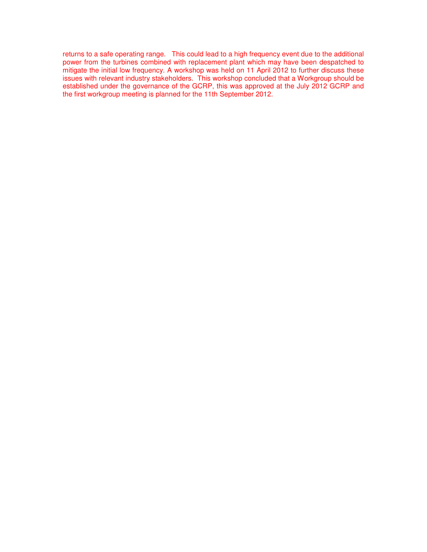returns to a safe operating range. This could lead to a high frequency event due to the additional power from the turbines combined with replacement plant which may have been despatched to mitigate the initial low frequency. A workshop was held on 11 April 2012 to further discuss these issues with relevant industry stakeholders. This workshop concluded that a Workgroup should be established under the governance of the GCRP, this was approved at the July 2012 GCRP and the first workgroup meeting is planned for the 11th September 2012.